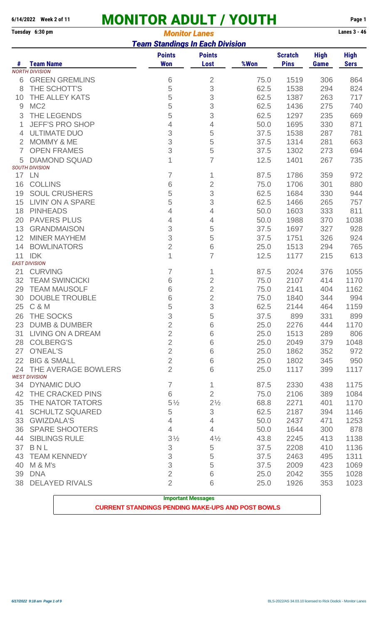# **6/14/2022** Week 2 of 11 **MONITOR ADULT / YOUTH** Page 1<br> **Fuesday 6:30 pm** Monitor *Lanes* 3 - 46

#### **Monitor Lanes** *Team Standings In Each Division*

|                |                                                | <u>ו כמווו טעמוניוויטן און נעמוניוואט ווואס</u> |                              |      |                               |                            |                            |
|----------------|------------------------------------------------|-------------------------------------------------|------------------------------|------|-------------------------------|----------------------------|----------------------------|
| #              | <b>Team Name</b>                               | <b>Points</b><br><b>Won</b>                     | <b>Points</b><br><b>Lost</b> | %Won | <b>Scratch</b><br><b>Pins</b> | <b>High</b><br><b>Game</b> | <b>High</b><br><b>Sers</b> |
|                | <b>NORTH DIVISION</b>                          |                                                 |                              |      |                               |                            |                            |
| 6              | <b>GREEN GREMLINS</b>                          | 6                                               | $\overline{2}$               | 75.0 | 1519                          | 306                        | 864                        |
| 8              | THE SCHOTT'S                                   | 5                                               | 3                            | 62.5 | 1538                          | 294                        | 824                        |
| 10             | THE ALLEY KATS                                 | 5                                               | 3                            | 62.5 | 1387                          | 263                        | 717                        |
| 9              | MC <sub>2</sub>                                | 5                                               | 3                            | 62.5 | 1436                          | 275                        | 740                        |
| 3              | THE LEGENDS                                    | 5                                               | 3                            | 62.5 | 1297                          | 235                        | 669                        |
|                | <b>JEFF'S PRO SHOP</b>                         | 4                                               | 4                            | 50.0 | 1695                          | 330                        | 871                        |
| 4              | <b>ULTIMATE DUO</b>                            | 3                                               | 5                            | 37.5 | 1538                          | 287                        | 781                        |
| 2              | <b>MOMMY &amp; ME</b>                          | 3                                               | 5                            | 37.5 | 1314                          | 281                        | 663                        |
| $\overline{7}$ | <b>OPEN FRAMES</b>                             | 3                                               | 5                            | 37.5 | 1302                          | 273                        | 694                        |
| 5              | <b>DIAMOND SQUAD</b>                           | 1                                               | $\overline{7}$               | 12.5 | 1401                          | 267                        | 735                        |
|                | <b>SOUTH DIVISION</b>                          |                                                 |                              |      |                               |                            |                            |
| 17             | <b>LN</b>                                      | 7                                               | 1                            | 87.5 | 1786                          | 359                        | 972                        |
| 16             | <b>COLLINS</b>                                 | 6                                               | $\overline{2}$               | 75.0 | 1706                          | 301                        | 880                        |
| 19             | <b>SOUL CRUSHERS</b>                           | 5                                               | 3                            | 62.5 | 1684                          | 330                        | 944                        |
| 15             | <b>LIVIN' ON A SPARE</b>                       | 5                                               | 3                            | 62.5 | 1466                          | 265                        | 757                        |
| 18             | <b>PINHEADS</b>                                | 4                                               | 4                            | 50.0 | 1603                          | 333                        | 811                        |
| 20             | <b>PAVERS PLUS</b>                             | 4                                               | 4                            | 50.0 | 1988                          | 370                        | 1038                       |
| 13             | <b>GRANDMAISON</b>                             | 3                                               | 5                            | 37.5 | 1697                          | 327                        | 928                        |
| 12             | <b>MINER MAYHEM</b>                            | 3                                               | 5                            | 37.5 | 1751                          | 326                        | 924                        |
| 14             | <b>BOWLINATORS</b>                             | $\overline{2}$                                  | $\,$ 6 $\,$                  | 25.0 | 1513                          | 294                        | 765                        |
| 11             | <b>IDK</b>                                     | 1                                               | $\overline{7}$               | 12.5 | 1177                          | 215                        | 613                        |
|                | <b>EAST DIVISION</b>                           |                                                 |                              |      |                               |                            |                            |
| 21             | <b>CURVING</b>                                 | 7                                               | 1                            | 87.5 | 2024                          | 376                        | 1055                       |
| 32             | <b>TEAM SWINCICKI</b>                          | 6                                               | $\overline{2}$               | 75.0 | 2107                          | 414                        | 1170                       |
| 29             | <b>TEAM MAUSOLF</b>                            | 6                                               | $\overline{2}$               | 75.0 | 2141                          | 404                        | 1162                       |
| 30             | <b>DOUBLE TROUBLE</b>                          | 6                                               | $\overline{2}$               | 75.0 | 1840                          | 344                        | 994                        |
| 25             | <b>C &amp; M</b>                               | 5                                               | 3                            | 62.5 | 2144                          | 464                        | 1159                       |
| 26             | THE SOCKS                                      | 3                                               | 5                            | 37.5 | 899                           | 331                        | 899                        |
|                | <b>DUMB &amp; DUMBER</b>                       |                                                 |                              |      |                               | 444                        |                            |
| 23             | <b>LIVING ON A DREAM</b>                       | 2                                               | 6                            | 25.0 | 2276                          |                            | 1170<br>806                |
| 31             |                                                | $\mathbf{2}$<br>$\overline{2}$                  | 6                            | 25.0 | 1513                          | 289                        |                            |
| 28             | <b>COLBERG'S</b>                               | $\overline{2}$                                  | 6                            | 25.0 | 2049                          | 379                        | 1048                       |
| 27             | O'NEAL'S                                       |                                                 | 6                            | 25.0 | 1862                          | 352                        | 972                        |
| 22             | <b>BIG &amp; SMALL</b>                         | $\overline{2}$                                  | 6                            | 25.0 | 1802                          | 345                        | 950                        |
|                | 24 THE AVERAGE BOWLERS<br><b>WEST DIVISION</b> | $\overline{2}$                                  | 6                            | 25.0 | 1117                          | 399                        | 1117                       |
|                | 34 DYNAMIC DUO                                 | $\overline{7}$                                  | 1                            | 87.5 | 2330                          | 438                        | 1175                       |
| 42             | THE CRACKED PINS                               | 6                                               | $\overline{2}$               | 75.0 | 2106                          | 389                        | 1084                       |
| 35             | THE NATOR TATORS                               | $5\frac{1}{2}$                                  | $2\frac{1}{2}$               | 68.8 | 2271                          | 401                        | 1170                       |
| 41             | <b>SCHULTZ SQUARED</b>                         | 5                                               | 3                            | 62.5 | 2187                          | 394                        | 1146                       |
|                |                                                |                                                 |                              |      |                               |                            |                            |
| 33             | <b>GWIZDALA'S</b>                              | $\overline{4}$                                  | 4                            | 50.0 | 2437                          | 471                        | 1253                       |
| 36             | <b>SPARE SHOOTERS</b>                          | 4                                               | 4                            | 50.0 | 1644                          | 300                        | 878                        |
| 44             | <b>SIBLINGS RULE</b>                           | $3\frac{1}{2}$                                  | $4\frac{1}{2}$               | 43.8 | 2245                          | 413                        | 1138                       |
| 37             | BNL                                            | $\sqrt{3}$                                      | $\sqrt{5}$                   | 37.5 | 2208                          | 410                        | 1136                       |
| 43             | <b>TEAM KENNEDY</b>                            | 3                                               | 5                            | 37.5 | 2463                          | 495                        | 1311                       |
| 40             | M & M's                                        | 3                                               | 5                            | 37.5 | 2009                          | 423                        | 1069                       |
| 39             | <b>DNA</b>                                     | $\overline{2}$                                  | 6                            | 25.0 | 2042                          | 355                        | 1028                       |
| 38             | <b>DELAYED RIVALS</b>                          | $\overline{2}$                                  | 6                            | 25.0 | 1926                          | 353                        | 1023                       |
|                |                                                |                                                 |                              |      |                               |                            |                            |

**Important Messages**

#### **CURRENT STANDINGS PENDING MAKE-UPS AND POST BOWLS**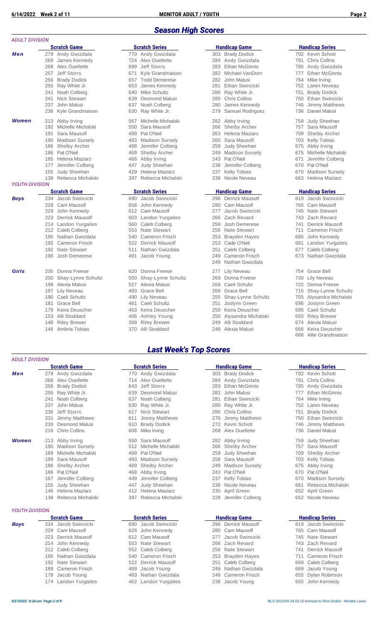#### *Season High Scores*

|                       | <b>Scratch Game</b>         |                 | <b>Scratch Series</b>  |     | <b>Handicap Game</b>   |     | <b>Handicap Series</b> |
|-----------------------|-----------------------------|-----------------|------------------------|-----|------------------------|-----|------------------------|
| Men                   | 279 Andy Gwizdala           |                 | 770 Andy Gwizdala      |     | 303 Brady Dodick       |     | 792 Kevin Schott       |
|                       | 269<br>James Kennedy        | 724             | Alex Ouellette         |     | 284 Andy Gwizdala      | 791 | <b>Chris Collins</b>   |
|                       | Alex Ouellette<br>268       | 699             | <b>Jeff Storrs</b>     | 283 | <b>Ethan McGinnis</b>  | 785 | Andy Gwizdala          |
|                       | Jeff Storrs<br>257          | 671             | Kyle Grandmaison       |     | 282 Michael VanDorn    | 777 | <b>Ethan McGinnis</b>  |
|                       | <b>Brady Dodick</b><br>256  | 657             | <b>Todd Demerese</b>   | 282 | John Malusi            | 764 | Mike Irving            |
|                       | 255<br>Ray White Jr.        | 653             | James Kennedy          | 281 | Ethan Swincicki        | 752 | Laren Neveau           |
|                       | Noah Colberg<br>241         | 640             | <b>Mike Schultz</b>    | 280 | Ray White Jr.          | 751 | <b>Brady Dodick</b>    |
|                       | <b>Nick Stewart</b><br>241  | 639             | <b>Desmond Malusi</b>  | 280 | Chris Collins          | 750 | Ethan Swincicki        |
|                       | John Malusi<br>237          | 637             | Noah Colberg           | 280 | James Kennedy          | 746 | <b>Jimmy Matthews</b>  |
|                       | 236<br>Kyle Grandmaison     | 630             | Ray White Jr.          | 279 | Samuel Rodriguez       | 736 | Daniel Malusi          |
| Women                 | Abby Irving<br>213          | 567             | Michelle Michalski     | 282 | Abby Irving            | 759 | Judy Sheehan           |
|                       | 192 Michelle Michalski      | 550             | Sara Mausolf           | 266 | <b>Shelby Archer</b>   | 757 | Sara Mausolf           |
|                       | 191<br>Sara Mausolf         | 499             | Pat O'Neil             | 263 | Helena Maziarz         | 709 | <b>Shelby Archer</b>   |
|                       | 190 Madison Sursely         | 493             | <b>Madison Sursely</b> | 260 | Sara Mausolf           | 703 | <b>Kelly Tobias</b>    |
|                       | 186<br><b>Shelby Archer</b> | 488             | Jennifer Colberg       | 259 | <b>Judy Sheehan</b>    | 675 | Abby Irving            |
|                       | 186<br>Pat O'Neil           | 469             | <b>Shelby Archer</b>   | 249 | <b>Madison Sursely</b> | 675 | Michelle Michals       |
|                       | 185 Helena Maziarz          | 468             | Abby Irving            | 243 | Pat O'Neil             | 671 | Jennifer Colbero       |
|                       | Jennifer Colberg<br>177     | 447             | Judy Sheehan           | 238 | Jennifer Colberg       | 670 | Pat O'Neil             |
|                       | Judy Sheehan<br>155         | 429             | Helena Maziarz         | 237 | <b>Kelly Tobias</b>    |     | 670 Madison Sursely    |
|                       | 138 Rebecca Michalski       | 397             | Rebecca Michalski      | 236 | Nicole Neveau          | 663 | Helena Maziarz         |
| <b>YOUTH DIVISION</b> |                             |                 |                        |     |                        |     |                        |
|                       | <b>Scratch Game</b>         |                 | <b>Scratch Series</b>  |     | <b>Handicap Game</b>   |     | <b>Handicap Series</b> |
| <b>Boys</b>           | 234 Jacob Swincicki         | 690             | Jacob Swincicki        |     | 296 Derrick Mausolf    |     | 819 Jacob Swincicki    |
|                       | 229<br>Cam Mausolf          | 658             | John Kennedy           | 280 | Cam Mausolf            | 765 | Cam Mausolf            |
|                       | 229<br>John Kennedy         | 612 Cam Mausolf |                        | 277 | Jacob Swincicki        | 745 | <b>Nate Stewart</b>    |
|                       | 223<br>Derrick Mausolf      |                 | 603 Landon Yurgaites   | 266 | Zach Revard            | 743 | Zach Revard            |
|                       | 214 Landon Yurgaites        | 560             | Caleb Colberg          | 259 | Josh Demerese          | 741 | <b>Derrick Mausolf</b> |
|                       | 212 Caleb Colberg           | 553             | <b>Nate Stewart</b>    | 256 | Nate Stewart           | 711 | <b>Cameron Frisch</b>  |
|                       | 195<br>Nathan Gwizdala      | 540             | <b>Cameron Frisch</b>  | 253 | <b>Brayden Hayes</b>   | 685 | John Kennedy           |
|                       | 192 Cameron Frisch          |                 | 522 Derrick Mausolf    | 253 | Cade O'Neil            | 681 | Landon Yurgaite        |
|                       | 192<br><b>Nate Stewart</b>  | 511             | Nathan Gwizdala        | 251 | Caleb Colberg          | 677 | Caleb Colberg          |
|                       | 190<br>Josh Demerese        | 491             | Jacob Young            | 249 | <b>Cameron Frisch</b>  | 673 | Nathan Gwizdal         |
|                       |                             |                 |                        | 249 | Nathan Gwizdala        |     |                        |
| Girls                 | Donna Freese<br>235         | 620             | Donna Freese           | 277 | <b>Lily Neveau</b>     |     | 754 Grace Bell         |
|                       | Shay-Lynne Schultz<br>200   | 550             | Shay-Lynne Schultz     | 269 | Donna Freese           | 730 | Lily Neveau            |
|                       | Alexia Malusi<br>199        | 527             | Alexia Malusi          | 268 | Caeli Schultz          | 722 | Donna Freese           |
|                       | 197<br>Lily Neveau          | 493             | Grace Bell             | 268 | Grace Bell             | 715 | Shay-Lynne Sch         |
|                       | Caeli Schultz<br>190        | 490 Lily Neveau |                        | 255 | Shay-Lynne Schultz     |     | 705 Alysandra Micha    |
|                       | <b>Grace Bell</b><br>181    | 461             | Caeli Schultz          | 251 | Joslynn Green          | 696 | Joslynn Green          |
|                       | 179 Keira Deuscher          |                 | 453 Keira Deuscher     | 250 | Keira Deuscher         | 695 | Caeli Schultz          |
|                       | 153 Alli Stoddard           | 406             | Ashley Young           | 250 | Alysandra Michalski    | 693 | <b>Riley Brewer</b>    |
|                       | 148 Riley Brewer            | 399             | <b>Riley Brewer</b>    |     | 249 Alli Stoddard      |     | 674 Alexia Malusi      |
|                       | 146 Ambria Tobias           | 370             | Alli Stoddard          |     | 248 Alexia Malusi      |     | 666 Keira Deuscher     |

#### *ADULT DIVISION*

|       |            | <b>Scratch Game</b>         |  |  |  |  |
|-------|------------|-----------------------------|--|--|--|--|
| Men   | 279        | Andy Gwizdala               |  |  |  |  |
|       | 268        | Alex Ouellette              |  |  |  |  |
|       | 256        | <b>Brady Dodick</b>         |  |  |  |  |
|       | 255        | Ray White Jr.               |  |  |  |  |
|       | 241        | Noah Colberg                |  |  |  |  |
|       | 237        | John Malusi                 |  |  |  |  |
|       | 236        | <b>Jeff Storrs</b>          |  |  |  |  |
|       | 231        | <b>Jimmy Matthews</b>       |  |  |  |  |
|       | 230        | <b>Desmond Malusi</b>       |  |  |  |  |
|       | 216        | <b>Chris Collins</b>        |  |  |  |  |
| Women | 213        | Abby Irving                 |  |  |  |  |
|       | 190        | <b>Madison Sursely</b>      |  |  |  |  |
|       | 189        | Michelle Michalski          |  |  |  |  |
|       | 189        | Sara Mausolf                |  |  |  |  |
|       | 186        | <b>Shelby Archer</b>        |  |  |  |  |
|       | 186        | Pat O'Neil                  |  |  |  |  |
|       | 167        | Jennifer Colberg            |  |  |  |  |
|       | 155        | <b>Judy Sheehan</b>         |  |  |  |  |
|       | 146        | Helena Maziarz              |  |  |  |  |
|       | $\sqrt{2}$ | marka a a a 1998 a bhailt 2 |  |  |  |  |

# *YOUTH DIVISION*

|      | <b>Scratch Game</b> |
|------|---------------------|
| Boys | 234 Jacob Swincicki |
|      | 229 Cam Mausolf     |
|      | 223 Derrick Mausolf |
|      | 214 John Kennedy    |
|      | 212 Caleb Colberg   |
|      | 195 Nathan Gwizdala |
|      | 192 Nate Stewart    |
|      | 189 Cameron Frisch  |
|      | 178 Jacob Young     |
|      |                     |

| Ν   |                        |                                                                         |                       |     |                        |     |                         |
|-----|------------------------|-------------------------------------------------------------------------|-----------------------|-----|------------------------|-----|-------------------------|
|     | <b>Scratch Game</b>    | <b>Scratch Series</b><br><b>Handicap Game</b><br><b>Handicap Series</b> |                       |     |                        |     |                         |
|     | 279 Andy Gwizdala      |                                                                         | 770 Andy Gwizdala     |     | 303 Brady Dodick       |     | 792 Kevin Schott        |
| 269 | James Kennedy          |                                                                         | 724 Alex Ouellette    |     | 284 Andy Gwizdala      |     | 791 Chris Collins       |
|     | 268 Alex Ouellette     | 699                                                                     | Jeff Storrs           | 283 | <b>Ethan McGinnis</b>  |     | 785 Andy Gwizdala       |
| 257 | <b>Jeff Storrs</b>     | 671                                                                     | Kyle Grandmaison      | 282 | Michael VanDorn        | 777 | <b>Ethan McGinnis</b>   |
| 256 | <b>Brady Dodick</b>    |                                                                         | 657 Todd Demerese     | 282 | John Malusi            | 764 | Mike Irvina             |
|     | 255 Ray White Jr.      | 653                                                                     | James Kennedy         | 281 | Ethan Swincicki        | 752 | Laren Neveau            |
| 241 | Noah Colberg           |                                                                         | 640 Mike Schultz      | 280 | Ray White Jr.          | 751 | <b>Brady Dodick</b>     |
| 241 | <b>Nick Stewart</b>    | 639                                                                     | <b>Desmond Malusi</b> | 280 | <b>Chris Collins</b>   | 750 | Ethan Swincicki         |
| 237 | John Malusi            |                                                                         | 637 Noah Colberg      | 280 | James Kennedy          | 746 | <b>Jimmy Matthews</b>   |
|     | 236 Kyle Grandmaison   |                                                                         | 630 Ray White Jr.     | 279 | Samuel Rodriguez       | 736 | <b>Daniel Malusi</b>    |
|     | 213 Abby Irving        | 567                                                                     | Michelle Michalski    | 282 | Abby Irving            | 759 | Judy Sheehan            |
|     | 192 Michelle Michalski |                                                                         | 550 Sara Mausolf      | 266 | <b>Shelby Archer</b>   | 757 | Sara Mausolf            |
| 191 | Sara Mausolf           |                                                                         | 499 Pat O'Neil        | 263 | Helena Maziarz         | 709 | <b>Shelby Archer</b>    |
|     | 190 Madison Sursely    |                                                                         | 493 Madison Sursely   | 260 | Sara Mausolf           |     | 703 Kelly Tobias        |
|     | 186 Shelby Archer      |                                                                         | 488 Jennifer Colberg  | 259 | <b>Judy Sheehan</b>    |     | 675 Abby Irving         |
|     | 186 Pat O'Neil         | 469                                                                     | Shelby Archer         | 249 | <b>Madison Sursely</b> | 675 | Michelle Michalski      |
|     | 185 Helena Maziarz     |                                                                         | 468 Abby Irving       |     | 243 Pat O'Neil         | 671 | Jennifer Colberg        |
| 177 | Jennifer Colberg       | 447                                                                     | Judy Sheehan          | 238 | Jennifer Colberg       |     | 670 Pat O'Neil          |
| 155 | Judy Sheehan           |                                                                         | 429 Helena Maziarz    | 237 | <b>Kelly Tobias</b>    |     | 670 Madison Sursely     |
|     | 138 Rebecca Michalski  |                                                                         | 397 Rebecca Michalski | 236 | Nicole Neveau          |     | 663 Helena Maziarz      |
| ١N  | <b>Scratch Game</b>    |                                                                         | <b>Scratch Series</b> |     | <b>Handicap Game</b>   |     | <b>Handicap Series</b>  |
|     | 234 Jacob Swincicki    |                                                                         | 690 Jacob Swincicki   |     | 296 Derrick Mausolf    |     | 819 Jacob Swincicki     |
| 229 | <b>Cam Mausolf</b>     |                                                                         | 658 John Kennedy      | 280 | <b>Cam Mausolf</b>     |     | 765 Cam Mausolf         |
| 229 | John Kennedy           |                                                                         | 612 Cam Mausolf       | 277 | Jacob Swincicki        |     | 745 Nate Stewart        |
|     | 223 Derrick Mausolf    |                                                                         | 603 Landon Yurgaites  |     | 266 Zach Revard        |     | 743 Zach Revard         |
|     | 214 Landon Yurgaites   |                                                                         | 560 Caleb Colberg     | 259 | Josh Demerese          | 741 | <b>Derrick Mausolf</b>  |
|     | 212 Caleb Colberg      |                                                                         | 553 Nate Stewart      |     | 256 Nate Stewart       | 711 | <b>Cameron Frisch</b>   |
|     | 195 Nathan Gwizdala    | 540                                                                     | <b>Cameron Frisch</b> | 253 | <b>Brayden Hayes</b>   |     | 685 John Kennedy        |
|     | 192 Cameron Frisch     |                                                                         | 522 Derrick Mausolf   |     | 253 Cade O'Neil        | 681 | Landon Yurgaites        |
|     | 192 Nate Stewart       | 511                                                                     | Nathan Gwizdala       | 251 | Caleb Colberg          | 677 | Caleb Colberg           |
|     | 190 Josh Demerese      |                                                                         |                       | 249 | <b>Cameron Frisch</b>  | 673 | Nathan Gwizdala         |
|     |                        |                                                                         | 491 Jacob Young       | 249 | Nathan Gwizdala        |     |                         |
|     | 235 Donna Freese       |                                                                         | 620 Donna Freese      | 277 | Lily Neveau            |     | 754 Grace Bell          |
| 200 | Shay-Lynne Schultz     | 550                                                                     | Shay-Lynne Schultz    | 269 | Donna Freese           |     | 730 Lily Neveau         |
| 199 | Alexia Malusi          |                                                                         | 527 Alexia Malusi     | 268 | Caeli Schultz          |     | 722 Donna Freese        |
| 197 | <b>Lily Neveau</b>     |                                                                         | 493 Grace Bell        | 268 | Grace Bell             | 715 | Shay-Lynne Schultz      |
|     | 190 Caeli Schultz      |                                                                         | 490 Lily Neveau       | 255 | Shay-Lynne Schultz     |     | 705 Alysandra Michalski |
|     | 181 Grace Bell         | 461                                                                     | Caeli Schultz         | 251 | Joslynn Green          | 696 | Joslynn Green           |
| 179 | Keira Deuscher         |                                                                         | 453 Keira Deuscher    | 250 | Keira Deuscher         | 695 | Caeli Schultz           |
|     | 153 Alli Stoddard      |                                                                         | 406 Ashley Young      | 250 | Alysandra Michalski    | 693 | <b>Riley Brewer</b>     |
|     | 148 Riley Brewer       |                                                                         | 399 Riley Brewer      | 249 | Alli Stoddard          |     | 674 Alexia Malusi       |
|     | 146 Ambria Tobias      |                                                                         | 370 Alli Stoddard     |     | 248 Alexia Malusi      |     | 666 Keira Deuscher      |

|     | <u>Handıcap Game </u> |
|-----|-----------------------|
| 303 | <b>Brady Dodick</b>   |
| 284 | Andy Gwizdala         |
| 283 | <b>Ethan McGinnis</b> |
| 282 | Michael VanDorn       |
| 282 | John Malusi           |
| 281 | Ethan Swincicki       |
|     | 280 Ray White Jr.     |
| 280 | <b>Chris Collins</b>  |
| 280 | James Kennedy         |
| 279 | Samuel Rodriguez      |
| 282 | Abby Irving           |
| 266 | Shelby Archer         |
| 263 | Helena Maziarz        |
| 260 | Sara Mausolf          |
| 259 | Judy Sheehan          |
| 249 | Madison Sursely       |
| 243 | Pat O'Neil            |
| 238 | Jennifer Colberg      |
| 237 | Kelly Tobias          |
| 236 | Nicole Neveau         |
|     | <b>Handicap Game</b>  |
| 296 | Derrick Mausolf       |
| 280 | Cam Mausolf           |
| 277 | Jacob Swincicki       |
| 266 | Zach Revard           |
| 259 | Josh Demerese         |
| 256 | Nate Stewart          |
| 253 | Brayden Hayes         |
| 253 | Cade O'Neil           |
| 251 | Caleb Colberg         |
| 249 | <b>Cameron Frisch</b> |
| 249 | Nathan Gwizdala       |
| 277 | Lily Neveau           |
| 269 | Donna Freese          |
| 268 | Caeli Schultz         |
|     |                       |

*Last Week's Top Scores*

610 Brady Dodick<br>608 Mike Irving

449 Jennifer Colberg

412 Helena Maziarz

**Scratch Series Handicap Game Handicap Series** 770 Andy Gwizdala **770 Andy Gwizdala** 303 Brady Dodick 714 Alex Ouellette 284 Andy Gwizdala 643 Jeff Storrs 283 Ethan McGinnis 639 Desmond Malusi 282 John Malusi 241 Noah Colberg 637 Noah Colberg 281 Ethan Swincicki 764 Mike Irving 280 Ray White Jr. 220 Chris Collins 617 Nick Stewart 280 Chris Collins 611 Jimmy Matthews 221 Jimmy Matthews 276 Jimmy Matthews 276 Jimmy Matthews 2750 Ethanism Schott 268 Alex Ouellette 550 Sara Mausolf 282 Abby Irving 512 Michelle Michalski 266 Shelby Archer 199 Pat O'Neil 259 Judy Sheehan 193 Madison Sursely 258 Sara Mausolf<br>189 Shelby Archer 249 Madison Surs 249 Madison Sursely 186 Pat O'Neil 1868 Abby Irving 243 Pat O'Neil 449 Jennifer Colberg 237 Kelly Tobias 155 1954 Judy Sheehan 1256 236 Nicole Neveau 6612 Publishing Australian 236 Nicole Neveau 661 Rebecca Michalski<br>230 April Green 1256 Repected Michalski 138 Rebecca Michalski 397 Rebecca Michalski 228 Jennifer Colberg

| 280 Cam Mausolf<br>277 Jacob Swincicki | 765 Cam Mausolf<br>745 Nate Stewart |
|----------------------------------------|-------------------------------------|
|                                        |                                     |
|                                        |                                     |
| 266 Zach Revard                        | 743 Zach Revard                     |
| 256 Nate Stewart                       | 741 Derrick Mauso                   |
| 253 Brayden Hayes                      | 711 Cameron Friso                   |
| 251 Caleb Colberg                      | 669 Caleb Colberg                   |
| 249 Nathan Gwizdala                    | 669 Jacob Young                     |
| 246 Cameron Frisch                     | 655 Dylan Robinso                   |
| 238 Jacob Young                        | 655 John Kennedy                    |
|                                        |                                     |

| 791<br>785<br>777<br>764<br>752<br>751<br>750<br>746<br>736        | Chris Collins<br>Andy Gwizdala<br><b>Ethan McGinnis</b><br>Mike Irving<br>Laren Neveau<br><b>Brady Dodick</b><br>Ethan Swincicki<br><b>Jimmy Matthews</b><br>Daniel Malusi |
|--------------------------------------------------------------------|----------------------------------------------------------------------------------------------------------------------------------------------------------------------------|
| 759<br>757<br>709<br>703<br>675<br>675<br>671<br>670<br>670<br>663 | Judy Sheehan<br>Sara Mausolf<br>Shelby Archer<br>Kelly Tobias<br>Abby Irving<br>Michelle Michalski<br>Jennifer Colberg<br>Pat O'Neil<br>Madison Sursely<br>Helena Maziarz  |
|                                                                    | <b>Handicap Series</b>                                                                                                                                                     |
| 819                                                                | Jacob Swincicki                                                                                                                                                            |
| 765                                                                | Cam Mausolf                                                                                                                                                                |
| 745                                                                | Nate Stewart                                                                                                                                                               |
| 743<br>741                                                         | Zach Revard<br>Derrick Mausolf                                                                                                                                             |
| 711                                                                | Cameron Frisch                                                                                                                                                             |
| 685                                                                | John Kennedy                                                                                                                                                               |
| 681                                                                | Landon Yurgaites                                                                                                                                                           |
| 677                                                                | Caleb Colberg                                                                                                                                                              |
| 673                                                                | Nathan Gwizdala                                                                                                                                                            |
| 754                                                                | Grace Bell                                                                                                                                                                 |
| 730                                                                | Lily Neveau                                                                                                                                                                |
| 722                                                                | Donna Freese                                                                                                                                                               |
| 715                                                                | Shay-Lynne Schultz                                                                                                                                                         |
| 705                                                                | Alysandra Michalski                                                                                                                                                        |
| 696                                                                | Joslynn Green                                                                                                                                                              |
| 695                                                                | Caeli Schultz                                                                                                                                                              |
| 693                                                                | <b>Riley Brewer</b>                                                                                                                                                        |
| 674<br>666                                                         | Alexia Malusi<br>Keira Deuscher                                                                                                                                            |
|                                                                    |                                                                                                                                                                            |

666 Allie Grandmaison

|     | <b>Handred Jeffes</b>  |
|-----|------------------------|
| 792 | Kevin Schott           |
| 791 | <b>Chris Collins</b>   |
| 785 | Andy Gwizdala          |
| 777 | <b>Ethan McGinnis</b>  |
|     | 764 Mike Irving        |
| 752 | Laren Neveau           |
| 751 | <b>Brady Dodick</b>    |
|     | 750 Ethan Swincicki    |
| 746 | <b>Jimmy Matthews</b>  |
| 736 | Daniel Malusi          |
| 759 | <b>Judy Sheehan</b>    |
| 757 | Sara Mausolf           |
| 709 | <b>Shelby Archer</b>   |
| 703 | Kelly Tobias           |
| 675 | Abby Irving            |
| 670 | Pat O'Neil             |
| 670 | <b>Madison Sursely</b> |
| 661 | Rebecca Michalsk       |
| 652 | April Green            |
| 652 | Nicole Neveau          |
|     |                        |

#### **Scratch Game Scratch Series Handicap Game Handicap Series**

| 819 | Jacob Swincicki        |
|-----|------------------------|
| 765 | Cam Mausolf            |
| 745 | <b>Nate Stewart</b>    |
| 743 | Zach Revard            |
| 741 | <b>Derrick Mausolf</b> |
| 711 | <b>Cameron Frisch</b>  |
| 669 | Caleb Colberg          |
| 669 | Jacob Young            |
| 655 | <b>Dylan Robinson</b>  |
| CEE | $h$ hn $K$ onnodu      |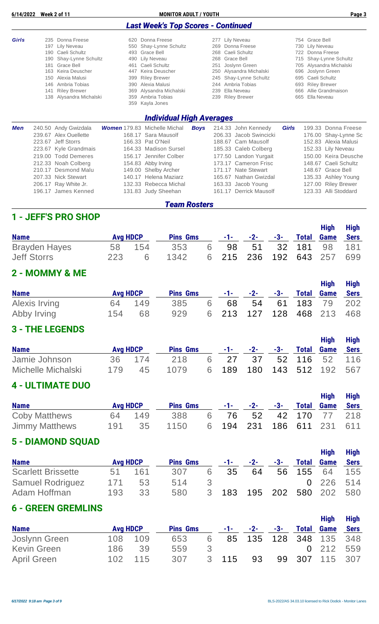| 6/14/2022 |                                                                    | <b>Week 2 of 11</b>                                                                                                                                                                       |                                                             | <b>MONITOR ADULT / YOUTH</b>                                                                                                                                                                                                                 |             |                                                             |                                                                                                                                                                                     |                                                      | Page 3                                                                                                                                                                                      |
|-----------|--------------------------------------------------------------------|-------------------------------------------------------------------------------------------------------------------------------------------------------------------------------------------|-------------------------------------------------------------|----------------------------------------------------------------------------------------------------------------------------------------------------------------------------------------------------------------------------------------------|-------------|-------------------------------------------------------------|-------------------------------------------------------------------------------------------------------------------------------------------------------------------------------------|------------------------------------------------------|---------------------------------------------------------------------------------------------------------------------------------------------------------------------------------------------|
|           |                                                                    |                                                                                                                                                                                           |                                                             | <b>Last Week's Top Scores - Continued</b>                                                                                                                                                                                                    |             |                                                             |                                                                                                                                                                                     |                                                      |                                                                                                                                                                                             |
| Girls     | 235<br>197<br>190<br>190<br>181<br>163<br>150<br>146<br>141<br>138 | Donna Freese<br><b>Lily Neveau</b><br>Caeli Schultz<br>Shay-Lynne Schultz<br>Grace Bell<br>Keira Deuscher<br>Alexia Malusi<br>Ambria Tobias<br><b>Riley Brewer</b><br>Alysandra Michalski | 620<br>550<br>493<br>461<br>447<br>399<br>390<br>369<br>359 | Donna Freese<br>Shay-Lynne Schultz<br>Grace Bell<br>490 Lily Neveau<br>Caeli Schultz<br>Keira Deuscher<br><b>Riley Brewer</b><br>Alexia Malusi<br>Alysandra Michalski<br>Ambria Tobias<br>359 Kayla Jones<br><b>Individual High Averages</b> |             | 277<br>269<br>268<br>268<br>251<br>245<br>244<br>239<br>239 | Lily Neveau<br>Donna Freese<br>Caeli Schultz<br>Grace Bell<br>Joslynn Green<br>250 Alysandra Michalski<br>Shay-Lynne Schultz<br>Ambria Tobias<br>Ella Neveau<br><b>Riley Brewer</b> | 722<br>715<br>705<br>696<br>695<br>693<br>666<br>665 | 754 Grace Bell<br>730 Lily Neveau<br>Donna Freese<br>Shay-Lynne Schultz<br>Alysandra Michalski<br>Joslynn Green<br>Caeli Schultz<br><b>Riley Brewer</b><br>Allie Grandmaison<br>Ella Neveau |
| Men       |                                                                    | 240.50 Andy Gwizdala<br>239.67 Alex Ouellette<br>223.67 Jeff Storrs<br>223.67 Kyle Grandmais<br>219.00 Todd Demeres                                                                       |                                                             | <b>Women</b> 179.83 Michelle Michal<br>168.17 Sara Mausolf<br>166.33 Pat O'Neil<br>164.33 Madison Sursel<br>156.17 Jennifer Colber                                                                                                           | <b>Boys</b> |                                                             | 214.33 John Kennedy<br>206.33 Jacob Swincicki<br>188.67 Cam Mausolf<br>185.33 Caleb Colberg<br>177.50 Landon Yurgait                                                                | <b>Girls</b>                                         | 199.33 Donna Freese<br>176.00 Shay-Lynne Sc<br>152.83 Alexia Malusi<br>152.33 Lily Neveau<br>150.00 Keira Deusche                                                                           |

212.33 Noah Colberg 154.83 Abby Irving 173.17 Cameron Frisc 148.67 Caeli Schultz

| <b>Team Rosters</b> |                      |  |                       |  |                        |  |                      |  |
|---------------------|----------------------|--|-----------------------|--|------------------------|--|----------------------|--|
|                     | 196.17 James Kenned  |  | 131.83 Judy Sheehan   |  | 161.17 Derrick Mausolf |  | 123.33 Alli Stoddard |  |
|                     | 206.17 Ray White Jr. |  | 132.33 Rebecca Michal |  | 163.33 Jacob Young     |  | 127.00 Riley Brewer  |  |
|                     | 207.33 Nick Stewart  |  | 140.17 Helena Maziarz |  | 165.67 Nathan Gwizdal  |  | 135.33 Ashley Young  |  |
|                     | 210.17 Desmond Malu  |  | 149.00 Shelby Archer  |  | 171.17 Nate Stewart    |  | 148.67 Grace Bell    |  |

#### **1 - JEFF'S PRO SHOP**

| <b>Name</b>          | <b>Avg HDCP</b> |        | <b>Pins Gms</b> |                           | $-1$ - $-2$ - $-3$ - |  | <b>High</b><br><b>Total Game Sers</b> | High |
|----------------------|-----------------|--------|-----------------|---------------------------|----------------------|--|---------------------------------------|------|
| <b>Brayden Hayes</b> |                 | 58 154 | 353             | 6 98 51 32 181 98 181     |                      |  |                                       |      |
| <b>Jeff Storrs</b>   | 223             | 6      | 1342            | 6 215 236 192 643 257 699 |                      |  |                                       |      |

### **2 - MOMMY & ME**

| <b>Name</b>   | <b>Avg HDCP</b> |        | <b>Pins Gms</b> |   |                           | $-1$ - $-2$ - $-3$ - |  | <b>High</b><br><b>Total Game Sers</b> | <b>High</b> |
|---------------|-----------------|--------|-----------------|---|---------------------------|----------------------|--|---------------------------------------|-------------|
| Alexis Irving |                 | 64 149 | 385             | 6 |                           |                      |  | 68 54 61 183 79 202                   |             |
| Abby Irving   | 154             | 68     | 929             |   | 6 213 127 128 468 213 468 |                      |  |                                       |             |

#### **3 - THE LEGENDS**

| <b>Name</b>        | <b>Avg HDCP</b> |        | <b>Pins Gms</b> |                           |  | High<br>$-1$ - $-2$ - $-3$ - Total Game Sers | High |
|--------------------|-----------------|--------|-----------------|---------------------------|--|----------------------------------------------|------|
| Jamie Johnson      |                 | 36 174 | 218             | 6 27 37 52 116 52 116     |  |                                              |      |
| Michelle Michalski | 179             | 45     | 1079            | 6 189 180 143 512 192 567 |  |                                              |      |

#### **4 - ULTIMATE DUO**

| <b>Name</b>           | <b>Avg HDCP</b> |        | <b>Pins Gms</b> |  |  | <b>High</b><br>$-1$ - $-2$ - $-3$ - Total Game Sers | <b>High</b> |
|-----------------------|-----------------|--------|-----------------|--|--|-----------------------------------------------------|-------------|
| <b>Coby Matthews</b>  |                 | 64 149 | 388             |  |  | 6 76 52 42 170 77 218                               |             |
| <b>Jimmy Matthews</b> | 191             | -35    | 1150            |  |  | 6 194 231 186 611 231 611                           |             |

#### **5 - DIAMOND SQUAD**

|                           |                 |     |                 |   |    |                |       |        | <b>High</b>       | <b>High</b> |
|---------------------------|-----------------|-----|-----------------|---|----|----------------|-------|--------|-------------------|-------------|
| <b>Name</b>               | <b>Avg HDCP</b> |     | <b>Pins Gms</b> |   |    | $-1$ $-2$ $-2$ | $-3-$ |        | <b>Total Game</b> | Sers        |
| <b>Scarlett Brissette</b> | 51              | 161 | 307             | 6 | 35 | 64             | 56    | 155 64 |                   | 155         |
| <b>Samuel Rodriguez</b>   | 171             | 53  | 514             | 3 |    |                |       |        | 0 226 514         |             |
| Adam Hoffman              | 193             | 33  | 580             | 3 |    | 183 195 202    |       |        | 580 202 580       |             |

### **6 - GREEN GREMLINS**

|                    |                 |         |                 |    |       |                      |  | <b>High</b>            | High |
|--------------------|-----------------|---------|-----------------|----|-------|----------------------|--|------------------------|------|
| <b>Name</b>        | <b>Avg HDCP</b> |         | <b>Pins Gms</b> |    |       | $-1$ - $-2$ - $-3$ - |  | <b>Total Game Sers</b> |      |
| Joslynn Green      |                 | 108 109 | 653             | 6  |       |                      |  | 85 135 128 348 135 348 |      |
| <b>Kevin Green</b> | 186             | 39      | 559             | -3 |       |                      |  | 0 212 559              |      |
| April Green        |                 | 102 115 | 307             |    | 3 115 | 93                   |  | 99 307 115 307         |      |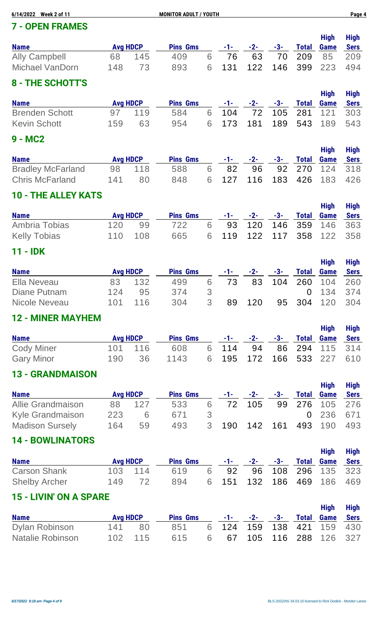| 6/14/2022 Week 2 of 11             |                 |                       | <b>MONITOR ADULT / YOUTH</b> |                                                    |           |              |              |                     |                            | Page 4                     |
|------------------------------------|-----------------|-----------------------|------------------------------|----------------------------------------------------|-----------|--------------|--------------|---------------------|----------------------------|----------------------------|
| <b>7 - OPEN FRAMES</b>             |                 |                       |                              |                                                    |           |              |              |                     |                            |                            |
|                                    |                 |                       |                              |                                                    |           |              |              |                     | <b>High</b>                | <b>High</b>                |
| <b>Name</b>                        |                 | <b>Avg HDCP</b>       | <b>Pins Gms</b>              |                                                    | -1-       | $-2-$        | $-3-$        | <b>Total</b>        | <b>Game</b>                | <b>Sers</b>                |
| <b>Ally Campbell</b>               | 68              | 145                   | 409                          | 6                                                  | 76        | 63           | 70           | 209                 | 85                         | 209                        |
| <b>Michael VanDorn</b>             | 148             | 73                    | 893                          | 6                                                  | 131       | 122          | 146          | 399                 | 223                        | 494                        |
| 8 - THE SCHOTT'S                   |                 |                       |                              |                                                    |           |              |              |                     |                            |                            |
| <b>Name</b>                        | <b>Avg HDCP</b> |                       | <b>Pins Gms</b>              |                                                    | -1-       | $-2-$        | $-3-$        | <b>Total</b>        | <b>High</b><br><b>Game</b> | <b>High</b><br><b>Sers</b> |
| <b>Brenden Schott</b>              | 97              | 119                   | 584                          | 6                                                  | 104       | 72           | 105          | 281                 | 121                        | 303                        |
| <b>Kevin Schott</b>                | 159             | 63                    | 954                          | 6                                                  | 173       | 181          | 189          | 543                 | 189                        | 543                        |
| 9 - MC2                            |                 |                       |                              |                                                    |           |              |              |                     |                            |                            |
|                                    |                 |                       |                              |                                                    |           |              |              |                     | <b>High</b>                | <b>High</b>                |
| <b>Name</b>                        |                 | <b>Avg HDCP</b>       | <b>Pins Gms</b>              |                                                    | -1-       | $-2-$        | $-3-$        | <b>Total</b>        | <b>Game</b>                | <b>Sers</b>                |
| <b>Bradley McFarland</b>           | 98              | 118                   | 588                          | 6                                                  | 82        | 96           | 92           | 270                 | 124                        | 318                        |
| <b>Chris McFarland</b>             | 141             | 80                    | 848                          | 6                                                  | 127       | 116          | 183          | 426                 | 183                        | 426                        |
| <b>10 - THE ALLEY KATS</b>         |                 |                       |                              |                                                    |           |              |              |                     |                            |                            |
|                                    |                 |                       |                              |                                                    |           |              |              |                     | <b>High</b>                | <b>High</b>                |
| <b>Name</b><br>Ambria Tobias       | 120             | <b>Avg HDCP</b><br>99 | <b>Pins Gms</b><br>722       | 6                                                  | -1-<br>93 | $-2-$<br>120 | $-3-$<br>146 | <b>Total</b><br>359 | <b>Game</b><br>146         | <b>Sers</b><br>363         |
| <b>Kelly Tobias</b>                | 110             | 108                   | 665                          | 6                                                  | 119       | 122          | 117          | 358                 | 122                        | 358                        |
|                                    |                 |                       |                              |                                                    |           |              |              |                     |                            |                            |
| 11 - IDK                           |                 |                       |                              |                                                    |           |              |              |                     |                            |                            |
|                                    |                 |                       |                              |                                                    |           |              |              |                     | <b>High</b>                | <b>High</b>                |
| <b>Name</b>                        |                 | <b>Avg HDCP</b>       | <b>Pins Gms</b>              |                                                    | -1-       | $-2-$        | $-3-$        | <b>Total</b>        | <b>Game</b>                | <b>Sers</b>                |
| Ella Neveau<br><b>Diane Putnam</b> | 83<br>124       | 132<br>95             | 499<br>374                   | 6                                                  | 73        | 83           | 104          | 260<br>$\Omega$     | 104<br>134                 | 260<br>374                 |
| <b>Nicole Neveau</b>               | 101             | 116                   | 304                          | $\mathfrak{S}% _{C}=\mathfrak{S}_{C}^{\ast }$<br>3 | 89        | 120          | 95           | 304                 | 120                        | 304                        |
|                                    |                 |                       |                              |                                                    |           |              |              |                     |                            |                            |
| <b>12 - MINER MAYHEM</b>           |                 |                       |                              |                                                    |           |              |              |                     |                            |                            |
|                                    |                 |                       |                              |                                                    |           |              |              |                     | <b>High</b>                | <b>High</b>                |
| <b>Name</b>                        | <b>Avg HDCP</b> |                       | <b>Pins Gms</b>              |                                                    | $-1-$     | $-2-$        | $-3-$        | <b>Total</b>        | <b>Game</b>                | <b>Sers</b>                |
| <b>Cody Miner</b>                  | 101             | 116                   | 608                          | 6                                                  | 114       | 94           | 86           | 294                 | 115                        | 314                        |
| <b>Gary Minor</b>                  | 190             | 36                    | 1143                         | 6                                                  | 195       | 172          | 166          | 533                 | 227                        | 610                        |
| <b>13 - GRANDMAISON</b>            |                 |                       |                              |                                                    |           |              |              |                     |                            |                            |
| <b>Name</b>                        |                 | <b>Avg HDCP</b>       | <b>Pins Gms</b>              |                                                    | $-1-$     | $-2-$        | $-3-$        | <b>Total</b>        | <b>High</b><br>Game        | <b>High</b><br><b>Sers</b> |
| <b>Allie Grandmaison</b>           | 88              | 127                   | 533                          | 6                                                  | 72        | 105          | 99           | 276                 | 105                        | 276                        |
| Kyle Grandmaison                   | 223             | 6                     | 671                          | 3                                                  |           |              |              | $\Omega$            | 236                        | 671                        |
| <b>Madison Sursely</b>             | 164             | 59                    | 493                          | 3                                                  | 190       | 142          | 161          | 493                 | 190                        | 493                        |
|                                    |                 |                       |                              |                                                    |           |              |              |                     |                            |                            |
| <b>14 - BOWLINATORS</b>            |                 |                       |                              |                                                    |           |              |              |                     | <b>High</b>                | Hiah                       |

| <b>Name</b>          | <b>Avg HDCP</b> |         | <b>Pins Gms</b> |                           |  | $-1$ - $-2$ - $-3$ - Total Game Sers | ungu ngu |
|----------------------|-----------------|---------|-----------------|---------------------------|--|--------------------------------------|----------|
| <b>Carson Shank</b>  |                 | 103 114 | 619             | 6 92 96 108 296 135 323   |  |                                      |          |
| <b>Shelby Archer</b> |                 | 149 72  | 894             | 6 151 132 186 469 186 469 |  |                                      |          |

# **15 - LIVIN' ON A SPARE**

| <b>Name</b>      | <b>Avg HDCP</b> |         | <b>Pins Gms</b> |                           |  | <b>High</b><br>$-1$ - $-2$ - $-3$ - Total Game Sers | High |
|------------------|-----------------|---------|-----------------|---------------------------|--|-----------------------------------------------------|------|
| Dylan Robinson   |                 | 141 80  | 851             | 6 124 159 138 421 159 430 |  |                                                     |      |
| Natalie Robinson |                 | 102 115 | 615             | 6 67 105 116 288 126 327  |  |                                                     |      |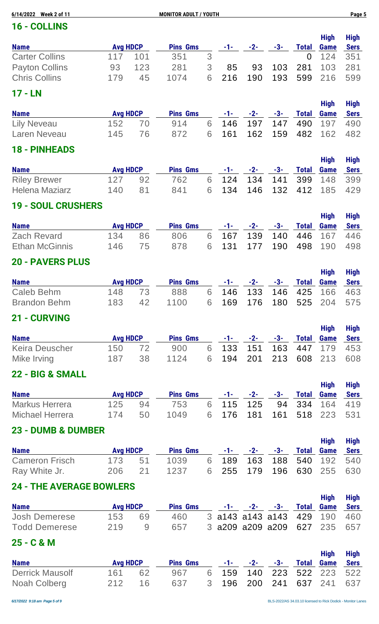| 6/14/2022 Week 2 of 11 | <b>MONITOR ADULT / YOUTH</b> |                 |                 |   |     |       |     |          |                     |                            |  |  |
|------------------------|------------------------------|-----------------|-----------------|---|-----|-------|-----|----------|---------------------|----------------------------|--|--|
| <b>16 - COLLINS</b>    |                              |                 |                 |   |     |       |     |          |                     |                            |  |  |
| <b>Name</b>            |                              | <b>Avg HDCP</b> | <b>Pins Gms</b> |   | -1- | $-2-$ | -3- | Total    | <b>High</b><br>Game | <b>High</b><br><b>Sers</b> |  |  |
| <b>Carter Collins</b>  | 117                          | 101             | 351             | 3 |     |       |     | $\Omega$ | 124 351             |                            |  |  |
| <b>Payton Collins</b>  | 93                           | 123             | 281             | 3 | 85  | 93    | 103 | 281      | 103                 | 281                        |  |  |

# **17 - LN**

| <b>Name</b>        | <b>Avg HDCP</b> |      | <b>Pins Gms</b> |  | $-1$ - $-2$ - $-3$ - Total Game Sers |  | High | <b>High</b> |
|--------------------|-----------------|------|-----------------|--|--------------------------------------|--|------|-------------|
| <b>Lily Neveau</b> | $152 \t 70$     |      | 914             |  | 6 146 197 147 490 197 490            |  |      |             |
| Laren Neveau       | 145             | - 76 | 872             |  | 6 161 162 159 482 162 482            |  |      |             |

Chris Collins 179 45 1074 6 216 190 193 599 216 599

#### **18 - PINHEADS**

| <b>Name</b>         | <b>Avg HDCP</b> |     | <b>Pins Gms</b> |  | $-1$ - $-2$ - $-3$ - Total Game Sers |  | <b>High</b> | <b>High</b> |
|---------------------|-----------------|-----|-----------------|--|--------------------------------------|--|-------------|-------------|
| <b>Riley Brewer</b> | 127             | -92 | 762             |  | 6 124 134 141 399 148 399            |  |             |             |
| Helena Maziarz      | 140.            | -81 | 841             |  | 6 134 146 132 412 185 429            |  |             |             |

#### **19 - SOUL CRUSHERS**

| <b>Name</b>           | <b>Avg HDCP</b> |     | <b>Pins Gms</b> |                           | $-1$ - $-2$ - $-3$ - Total Game Sers |  | <b>High</b> | High |
|-----------------------|-----------------|-----|-----------------|---------------------------|--------------------------------------|--|-------------|------|
| Zach Revard           | 134             | -86 | 806             | 6 167 139 140 446 167 446 |                                      |  |             |      |
| <b>Ethan McGinnis</b> | 146             | 75  | 878             | 6 131 177 190 498 190 498 |                                      |  |             |      |

# **20 - PAVERS PLUS**

| <b>Name</b>         | <b>Avg HDCP</b> |    | <b>Pins Gms</b> |                           | $-1$ - $-2$ - $-3$ - Total Game Sers |  | High | <b>High</b> |
|---------------------|-----------------|----|-----------------|---------------------------|--------------------------------------|--|------|-------------|
| Caleb Behm          | 148 73          |    | 888             | 6 146 133 146 425 166 463 |                                      |  |      |             |
| <b>Brandon Behm</b> | 183             | 42 | 1100            | 6 169 176 180 525 204 575 |                                      |  |      |             |

#### **21 - CURVING**

| <b>Name</b>    | <b>Avg HDCP</b> |      | <b>Pins Gms</b> |  | $-1$ - $-2$ - $-3$ - Total Game Sers | High | <b>High</b> |
|----------------|-----------------|------|-----------------|--|--------------------------------------|------|-------------|
| Keira Deuscher | 150 72          |      | 900             |  | 6 133 151 163 447 179 453            |      |             |
| Mike Irving    | 187             | - 38 | 1124            |  | 6 194 201 213 608 213 608            |      |             |

### **22 - BIG & SMALL**

| <b>Name</b>     | <b>Avg HDCP</b> |     | <b>Pins Gms</b> |                           |  | <b>High</b><br>$-1$ - $-2$ - $-3$ - Total Game Sers | High |
|-----------------|-----------------|-----|-----------------|---------------------------|--|-----------------------------------------------------|------|
| Markus Herrera  | 125             | 94  | 753             | 6 115 125 94 334 164 419  |  |                                                     |      |
| Michael Herrera | 174             | .50 | 1049            | 6 176 181 161 518 223 531 |  |                                                     |      |

#### **23 - DUMB & DUMBER**

|                       |                 |                 |                           |  | <b>High</b>                          | High |
|-----------------------|-----------------|-----------------|---------------------------|--|--------------------------------------|------|
| <b>Name</b>           | <b>Avg HDCP</b> | <b>Pins Gms</b> |                           |  | $-1$ - $-2$ - $-3$ - Total Game Sers |      |
| <b>Cameron Frisch</b> | 173 51          | 1039            | 6 189 163 188 540 192 540 |  |                                      |      |
| Ray White Jr.         | 206 21          | 1237            | 6 255 179 196 630 255 630 |  |                                      |      |

### **24 - THE AVERAGE BOWLERS**

| <b>Name</b>          | <b>Avg HDCP</b> |              | <b>Pins Gms</b> |  | $-1$ - $-2$ - $-3$ - Total Game Sers | <b>High</b> | <b>High</b> |
|----------------------|-----------------|--------------|-----------------|--|--------------------------------------|-------------|-------------|
| <b>Josh Demerese</b> | 153             | 69           | 460             |  | 3 a143 a143 a143 429 190 460         |             |             |
| <b>Todd Demerese</b> | 219             | <sup>Q</sup> | 657             |  | 3 a209 a209 a209 627 235 657         |             |             |

#### **25 - C & M**

| <b>Name</b>            | <b>Avg HDCP</b> |    | <b>Pins Gms</b> |                           | $-1$ - $-2$ - $-3$ - Total Game | <b>High</b> | <b>High</b><br><b>Sers</b> |
|------------------------|-----------------|----|-----------------|---------------------------|---------------------------------|-------------|----------------------------|
| <b>Derrick Mausolf</b> | 161 62          |    | 967             | 6 159 140 223 522 223 522 |                                 |             |                            |
| Noah Colberg           | 212             | 16 | 637             | 3 196 200 241 637 241 637 |                                 |             |                            |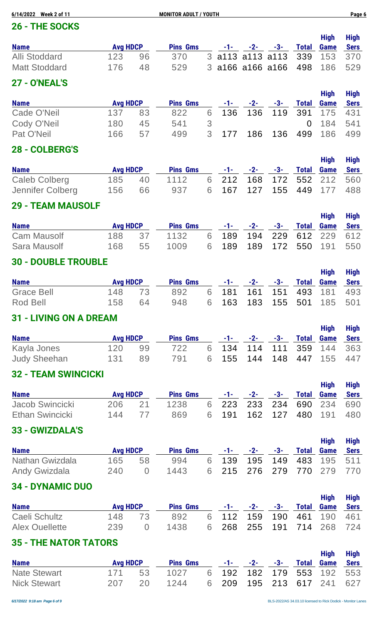| 6/14/2022 Week 2 of 11<br><b>MONITOR ADULT / YOUTH</b> |                 |    |                 |  |       |     |                         |              |             |             |
|--------------------------------------------------------|-----------------|----|-----------------|--|-------|-----|-------------------------|--------------|-------------|-------------|
| 26 - THE SOCKS                                         |                 |    |                 |  |       |     |                         |              |             |             |
|                                                        |                 |    |                 |  |       |     |                         |              | <b>High</b> | <b>High</b> |
| <b>Name</b>                                            | <b>Avg HDCP</b> |    | <b>Pins Gms</b> |  | $-1-$ | -2- | -3-                     | <b>Total</b> | Game        | <b>Sers</b> |
| <b>Alli Stoddard</b>                                   | 123             | 96 | 370             |  |       |     | 3 a113 a113 a113 339    |              | 153         | 370         |
| <b>Matt Stoddard</b>                                   | 176             | 48 | 529             |  |       |     | 3 a 166 a 166 a 166 498 |              | 186         | 529         |
| <b>27 - O'NEAL'S</b>                                   |                 |    |                 |  |       |     |                         |              |             |             |

| <b>Name</b> | <b>Avg HDCP</b> |    | <b>Pins Gms</b> |   |       | $-1$ $-2$ $-2$ | -3-     | Total | <b>High</b><br><b>Game</b> | <b>High</b><br>Sers |
|-------------|-----------------|----|-----------------|---|-------|----------------|---------|-------|----------------------------|---------------------|
| Cade O'Neil | 137             | 83 | 822             |   |       |                |         |       | 6 136 136 119 391 175 431  |                     |
| Cody O'Neil | 180             | 45 | 541             | 3 |       |                |         |       | 0 184 541                  |                     |
| Pat O'Neil  | 166             | 57 | 499             |   | 3 177 |                | 186 136 |       | 499 186                    | -499                |

#### **28 - COLBERG'S**

| <b>Name</b>      | <b>Avg HDCP</b> |     | <b>Pins Gms</b> |                           | $-1$ - $-2$ - $-3$ - Total Game Sers |  | High | <b>High</b> |
|------------------|-----------------|-----|-----------------|---------------------------|--------------------------------------|--|------|-------------|
| Caleb Colberg    | 185 40          |     | 1112            | 6 212 168 172 552 212 560 |                                      |  |      |             |
| Jennifer Colberg | 156             | -66 | 937             | 6 167 127 155 449 177 488 |                                      |  |      |             |

#### **29 - TEAM MAUSOLF**

|                    |                 |      |                 |                           |                                      |  | <b>High</b> | High |
|--------------------|-----------------|------|-----------------|---------------------------|--------------------------------------|--|-------------|------|
| <b>Name</b>        | <b>Avg HDCP</b> |      | <b>Pins Gms</b> |                           | $-1$ - $-2$ - $-3$ - Total Game Sers |  |             |      |
| <b>Cam Mausolf</b> | 188             | - 37 | 1132            | 6 189 194 229 612 229 612 |                                      |  |             |      |
| Sara Mausolf       | 168             | 55   | 1009            | 6 189 189 172 550 191 550 |                                      |  |             |      |

# **30 - DOUBLE TROUBLE**

| <b>Name</b>       | <b>Avg HDCP</b> |    | <b>Pins Gms</b> |  | $-1$ - $-2$ - $-3$ - Total Game Sers |  | <b>High</b> | <b>High</b> |
|-------------------|-----------------|----|-----------------|--|--------------------------------------|--|-------------|-------------|
| <b>Grace Bell</b> | 148 73          |    | 892             |  | 6 181 161 151 493 181 493            |  |             |             |
| Rod Bell          | 158             | 64 | 948             |  | 6 163 183 155 501 185 501            |  |             |             |

#### **31 - LIVING ON A DREAM**

| <b>Name</b>         | <b>Avg HDCP</b> |    | <b>Pins Gms</b> |  | $-1$ - $-2$ - $-3$ - Total Game Sers |  | High | <b>High</b> |
|---------------------|-----------------|----|-----------------|--|--------------------------------------|--|------|-------------|
| Kayla Jones         | 120             | 99 | 722             |  | 6 134 114 111 359 144 363            |  |      |             |
| <b>Judy Sheehan</b> | 131             | 89 | 791             |  | 6 155 144 148 447 155 447            |  |      |             |

### **32 - TEAM SWINCICKI**

| <b>Name</b>     | <b>Avg HDCP</b> |                 | <b>Pins Gms</b> |                           |  | <b>High</b><br>$-1$ - $-2$ - $-3$ - Total Game Sers | High |
|-----------------|-----------------|-----------------|-----------------|---------------------------|--|-----------------------------------------------------|------|
| Jacob Swincicki | 206             | $\overline{21}$ | 1238            | 6 223 233 234 690 234 690 |  |                                                     |      |
| Ethan Swincicki | 144             |                 | 869             | 6 191 162 127 480 191 480 |  |                                                     |      |

#### **33 - GWIZDALA'S**

|                      |                 |                  |                 |                           |  | <b>High</b>                          | High |
|----------------------|-----------------|------------------|-----------------|---------------------------|--|--------------------------------------|------|
| <b>Name</b>          | <b>Avg HDCP</b> |                  | <b>Pins Gms</b> |                           |  | $-1$ - $-2$ - $-3$ - Total Game Sers |      |
| Nathan Gwizdala      | 165             | - 58             | 994             | 6 139 195 149 483 195 511 |  |                                      |      |
| <b>Andy Gwizdala</b> | 240             | $\left( \right)$ | 1443            | 6 215 276 279 770 279 770 |  |                                      |      |

### **34 - DYNAMIC DUO**

| <b>Name</b>    | <b>Avg HDCP</b> |                  | <b>Pins Gms</b> |  |  | High<br>$-1$ - $-2$ - $-3$ - Total Game Sers | <b>High</b> |
|----------------|-----------------|------------------|-----------------|--|--|----------------------------------------------|-------------|
| Caeli Schultz  | 148 73          |                  | 892             |  |  | 6 112 159 190 461 190 461                    |             |
| Alex Ouellette | 239             | $\left( \right)$ | 1438            |  |  | 6 268 255 191 714 268 724                    |             |

### **35 - THE NATOR TATORS**

| <b>Name</b>         | <b>Avg HDCP</b> |    | <b>Pins Gms</b> |                           | $-1$ - $-2$ - $-3$ - Total Game |  | <b>High</b> | <b>High</b><br><b>Sers</b> |
|---------------------|-----------------|----|-----------------|---------------------------|---------------------------------|--|-------------|----------------------------|
| <b>Nate Stewart</b> | 171 53          |    | 1027            | 6 192 182 179 553 192 553 |                                 |  |             |                            |
| <b>Nick Stewart</b> | - 207           | 20 | 1244            | 6 209 195 213 617 241 627 |                                 |  |             |                            |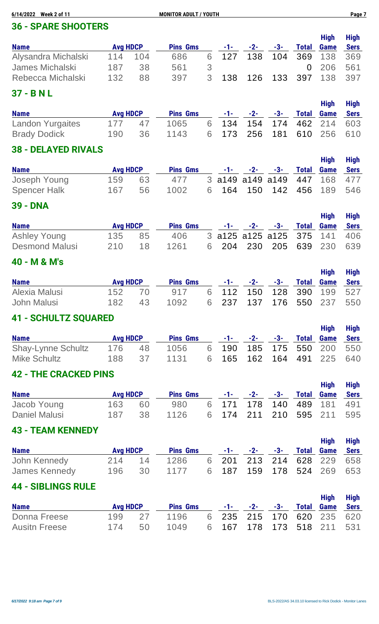| 6/14/2022<br><b>Week 2 of 11</b>             |                        |          | <b>MONITOR ADULT / YOUTH</b> |        |             |             |             |                     |                            | Page 7                     |
|----------------------------------------------|------------------------|----------|------------------------------|--------|-------------|-------------|-------------|---------------------|----------------------------|----------------------------|
| <b>36 - SPARE SHOOTERS</b>                   |                        |          |                              |        |             |             |             |                     |                            |                            |
| <b>Name</b>                                  | <b>Avg HDCP</b>        |          | <b>Pins Gms</b>              |        | -1-         | $-2-$       | $-3-$       | <b>Total</b>        | <b>High</b><br><b>Game</b> | <b>High</b><br><b>Sers</b> |
| Alysandra Michalski                          | 114                    | 104      | 686                          | 6      | 127         | 138         | 104         | 369                 | 138                        | 369                        |
| <b>James Michalski</b>                       | 187                    | 38       | 561                          | 3      |             |             |             | $\overline{0}$      | 206                        | 561                        |
| Rebecca Michalski                            | 132                    | 88       | 397                          | 3      | 138         | 126         | 133         | 397                 | 138                        | 397                        |
| 37 - B N L                                   |                        |          |                              |        |             |             |             |                     |                            |                            |
| <b>Name</b>                                  | <b>Avg HDCP</b>        |          | <b>Pins Gms</b>              |        | $-1-$       | $-2-$       | $-3-$       | <b>Total</b>        | <b>High</b><br><b>Game</b> | <b>High</b><br><b>Sers</b> |
| <b>Landon Yurgaites</b>                      | 177                    | 47       | 1065                         | 6      | 134         | 154         | 174         | 462                 | 214                        | 603                        |
| <b>Brady Dodick</b>                          | 190                    | 36       | 1143                         | 6      | 173         | 256         | 181         | 610                 | 256                        | 610                        |
| <b>38 - DELAYED RIVALS</b>                   |                        |          |                              |        |             |             |             |                     |                            |                            |
|                                              |                        |          | <b>Pins Gms</b>              |        |             |             |             |                     | <b>High</b>                | <b>High</b>                |
| <b>Name</b><br>Joseph Young                  | <b>Avg HDCP</b><br>159 | 63       | 477                          | 3      | -1-<br>a149 | -2-<br>a149 | -3-<br>a149 | <b>Total</b><br>447 | <b>Game</b><br>168         | <b>Sers</b><br>477         |
| <b>Spencer Halk</b>                          | 167                    | 56       | 1002                         | 6      | 164         | 150         | 142         | 456                 | 189                        | 546                        |
| <b>39 - DNA</b>                              |                        |          |                              |        |             |             |             |                     |                            |                            |
|                                              |                        |          |                              |        |             |             |             |                     | <b>High</b>                | <b>High</b>                |
| <b>Name</b>                                  | <b>Avg HDCP</b>        |          | <b>Pins Gms</b>              |        | -1-         | -2-         | -3-         | <b>Total</b>        | Game                       | <b>Sers</b>                |
| <b>Ashley Young</b><br><b>Desmond Malusi</b> | 135<br>210             | 85<br>18 | 406<br>1261                  | 3<br>6 | a125<br>204 | a125<br>230 | a125<br>205 | 375<br>639          | 141<br>230                 | 406<br>639                 |
|                                              |                        |          |                              |        |             |             |             |                     |                            |                            |
| 40 - M & M's                                 |                        |          |                              |        |             |             |             |                     | <b>High</b>                | <b>High</b>                |
| <b>Name</b>                                  | <b>Avg HDCP</b>        |          | <b>Pins Gms</b>              |        | $-1-$       | $-2-$       | $-3-$       | <b>Total</b>        | <b>Game</b>                | <b>Sers</b>                |
| Alexia Malusi                                | 152                    | 70       | 917                          | 6      | 112         | 150         | 128         | 390                 | 199                        | 527                        |
| <b>John Malusi</b>                           | 182                    | 43       | 1092                         | 6      | 237         | 137         | 176         | 550                 | 237                        | 550                        |
| <b>41 - SCHULTZ SQUARED</b>                  |                        |          |                              |        |             |             |             |                     |                            |                            |
| <b>Name</b>                                  | <b>Avg HDCP</b>        |          | <b>Pins Gms</b>              |        | -1-         | $-2-$       | $-3-$       | <b>Total</b>        | <b>High</b><br><b>Game</b> | <b>High</b><br><b>Sers</b> |
| <b>Shay-Lynne Schultz</b>                    | 176                    | 48       | 1056                         | 6      | 190         | 185         | 175         | 550                 | 200                        | 550                        |
| <b>Mike Schultz</b>                          | 188                    | 37       | 1131                         | 6      | 165         | 162         | 164         | 491                 | 225                        | 640                        |
| <b>42 - THE CRACKED PINS</b>                 |                        |          |                              |        |             |             |             |                     |                            |                            |
|                                              |                        |          |                              |        |             |             |             |                     | <b>High</b>                | <b>High</b>                |
| <b>Name</b>                                  | <b>Avg HDCP</b>        |          | <b>Pins Gms</b>              |        | $-1-$       | $-2-$       | $-3-$       | <b>Total</b>        | <b>Game</b>                | <b>Sers</b>                |
| Jacob Young<br><b>Daniel Malusi</b>          | 163<br>187             | 60<br>38 | 980<br>1126                  | 6<br>6 | 171<br>174  | 178<br>211  | 140<br>210  | 489<br>595          | 181<br>211                 | 491<br>595                 |
| <b>43 - TEAM KENNEDY</b>                     |                        |          |                              |        |             |             |             |                     |                            |                            |

| <b>Name</b>                   | <b>Avg HDCP</b> |          | <b>Pins Gms</b> |  | $-1$ - $-2$ - $-3$ - Total Game Sers                   |  | High High |  |
|-------------------------------|-----------------|----------|-----------------|--|--------------------------------------------------------|--|-----------|--|
| John Kennedy<br>James Kennedy | 214<br>196      | 14<br>30 | 1286<br>1177    |  | 6 201 213 214 628 229 658<br>6 187 159 178 524 269 653 |  |           |  |

# **44 - SIBLINGS RULE**

| <b>Name</b>          | <b>Avg HDCP</b> |     | <b>Pins Gms</b> |                           |  | <b>High</b><br>$-1$ - $-2$ - $-3$ - Total Game Sers | High |
|----------------------|-----------------|-----|-----------------|---------------------------|--|-----------------------------------------------------|------|
| Donna Freese         | 199 27          |     | 1196            | 6 235 215 170 620 235 620 |  |                                                     |      |
| <b>Ausith Freese</b> | 174             | .50 | 1049            | 6 167 178 173 518 211 531 |  |                                                     |      |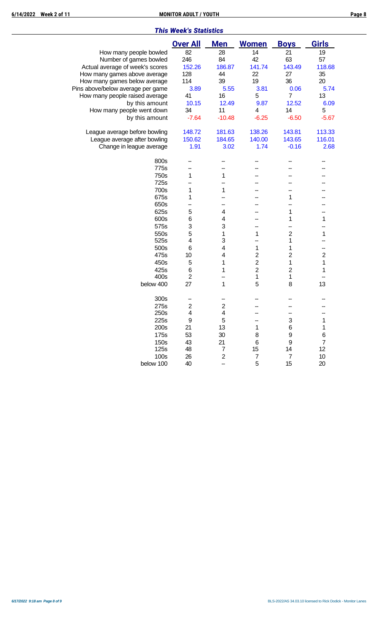|                                   | <b>Over All</b>         | <b>Men</b>              | <b>Women</b>   | <b>Boys</b>      | <b>Girls</b>            |
|-----------------------------------|-------------------------|-------------------------|----------------|------------------|-------------------------|
| How many people bowled            | 82                      | 28                      | 14             | 21               | 19                      |
| Number of games bowled            | 246                     | 84                      | 42             | 63               | 57                      |
| Actual average of week's scores   | 152.26                  | 186.87                  | 141.74         | 143.49           | 118.68                  |
| How many games above average      | 128                     | 44                      | 22             | 27               | 35                      |
| How many games below average      | 114                     | 39                      | 19             | 36               | 20                      |
| Pins above/below average per game | 3.89                    | 5.55                    | 3.81           | 0.06             | 5.74                    |
| How many people raised average    | 41                      | 16                      | 5              | $\overline{7}$   | 13                      |
| by this amount                    | 10.15                   | 12.49                   | 9.87           | 12.52            | 6.09                    |
| How many people went down         | 34                      | 11                      | 4              | 14               | 5                       |
| by this amount                    | $-7.64$                 | $-10.48$                | $-6.25$        | $-6.50$          | $-5.67$                 |
|                                   |                         |                         |                |                  |                         |
| League average before bowling     | 148.72                  | 181.63                  | 138.26         | 143.81           | 113.33                  |
| League average after bowling      | 150.62                  | 184.65                  | 140.00         | 143.65           | 116.01                  |
| Change in league average          | 1.91                    | 3.02                    | 1.74           | $-0.16$          | 2.68                    |
| 800s                              |                         |                         |                |                  |                         |
| 775s                              |                         |                         |                |                  |                         |
| 750s                              | 1                       | 1                       |                |                  |                         |
| 725s                              |                         |                         |                |                  |                         |
| 700s                              | 1                       | 1                       |                |                  |                         |
| 675s                              | 1                       |                         |                | 1                |                         |
| 650s                              |                         |                         |                |                  |                         |
| 625s                              | 5                       | 4                       |                | 1                |                         |
| 600s                              | 6                       | 4                       |                | 1                | 1                       |
| 575s                              | 3                       | 3                       |                |                  |                         |
| 550s                              | 5                       | 1                       | 1              | $\overline{c}$   | 1                       |
| 525s                              | 4                       | 3                       |                | 1                |                         |
| 500s                              | 6                       | 4                       | 1              | 1                |                         |
| 475s                              | 10                      | 4                       | $\sqrt{2}$     | 2                | $\overline{\mathbf{c}}$ |
| 450s                              | 5                       | 1                       | $\overline{2}$ | $\mathbf{1}$     | 1                       |
| 425s                              | 6                       | 1                       | $\overline{2}$ | $\overline{c}$   | 1                       |
| 400s                              | $\overline{\mathbf{c}}$ |                         | 1              | 1                |                         |
| below 400                         | 27                      | 1                       | 5              | 8                | 13                      |
| 300s                              |                         |                         |                |                  |                         |
| 275s                              | $\boldsymbol{2}$        | $\overline{\mathbf{c}}$ |                |                  |                         |
| 250s                              | 4                       | $\overline{\mathbf{4}}$ |                |                  |                         |
| 225s                              | 9                       | 5                       |                | 3                |                         |
| 200s                              | 21                      | 13                      |                | 6                |                         |
| 175s                              | 53                      | 30                      | 8              | 9                | 6                       |
| 150s                              | 43                      | 21                      | 6              | 9                | 7                       |
| 125s                              | 48                      | 7                       | 15             | 14               | 12                      |
| 100s                              | 26                      | $\mathbf{2}$            | 7              | $\boldsymbol{7}$ | 10                      |
| below 100                         | 40                      |                         | 5              | 15               | 20                      |
|                                   |                         |                         |                |                  |                         |